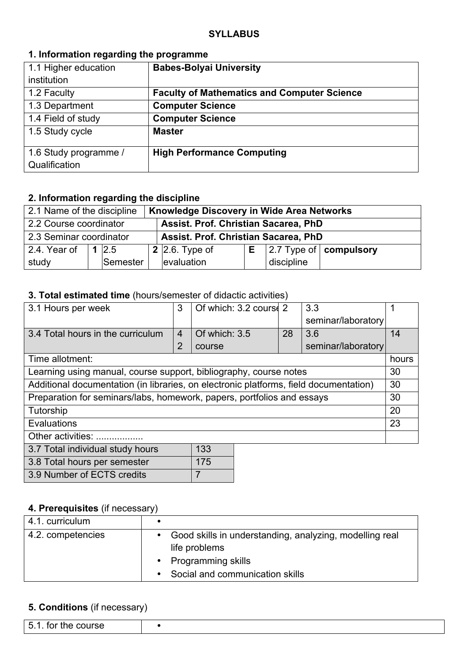## **1. Information regarding the programme**

| 1.1 Higher education  | <b>Babes-Bolyai University</b>                     |
|-----------------------|----------------------------------------------------|
| institution           |                                                    |
| 1.2 Faculty           | <b>Faculty of Mathematics and Computer Science</b> |
| 1.3 Department        | <b>Computer Science</b>                            |
| 1.4 Field of study    | <b>Computer Science</b>                            |
| 1.5 Study cycle       | <b>Master</b>                                      |
| 1.6 Study programme / | <b>High Performance Computing</b>                  |
| Qualification         |                                                    |

## **2. Information regarding the discipline**

| Knowledge Discovery in Wide Area Networks<br>2.1 Name of the discipline |  |            |  |                                      |    |            |                               |
|-------------------------------------------------------------------------|--|------------|--|--------------------------------------|----|------------|-------------------------------|
| Assist. Prof. Christian Sacarea, PhD<br>2.2 Course coordinator          |  |            |  |                                      |    |            |                               |
| 2.3 Seminar coordinator                                                 |  |            |  | Assist. Prof. Christian Sacarea, PhD |    |            |                               |
| 2.4. Year of                                                            |  | $1 \, 2.5$ |  | 2 2.6. Type of                       | E. |            | $ 2.7$ Type of $ $ compulsory |
| study                                                                   |  | Semester   |  | evaluation                           |    | discipline |                               |

## **3. Total estimated time** (hours/semester of didactic activities)

| 3.1 Hours per week                                                                    | 3              | Of which: 3.2 course 2 |    | 3.3                |       |
|---------------------------------------------------------------------------------------|----------------|------------------------|----|--------------------|-------|
|                                                                                       |                |                        |    | seminar/laboratory |       |
| 3.4 Total hours in the curriculum                                                     | $\overline{4}$ | Of which: 3.5          | 28 | 3.6                | 14    |
|                                                                                       | $\overline{2}$ | course                 |    | seminar/laboratory |       |
| Time allotment:                                                                       |                |                        |    |                    | hours |
| Learning using manual, course support, bibliography, course notes                     |                |                        |    |                    | 30    |
| Additional documentation (in libraries, on electronic platforms, field documentation) |                |                        |    |                    | 30    |
| Preparation for seminars/labs, homework, papers, portfolios and essays                |                |                        |    |                    | 30    |
| Tutorship                                                                             |                |                        |    |                    | 20    |
| Evaluations                                                                           |                |                        |    |                    | 23    |
| Other activities:                                                                     |                |                        |    |                    |       |
| 133<br>3.7 Total individual study hours                                               |                |                        |    |                    |       |
| 175<br>3.8 Total hours per semester                                                   |                |                        |    |                    |       |

## **4. Prerequisites** (if necessary)

3.9 Number of ECTS credits 7

| 4.1. curriculum   |           |                                                                                                                                     |
|-------------------|-----------|-------------------------------------------------------------------------------------------------------------------------------------|
| 4.2. competencies | $\bullet$ | Good skills in understanding, analyzing, modelling real<br>life problems<br>• Programming skills<br>Social and communication skills |

## **5. Conditions** (if necessary)

| - 气<br>for the course |  |
|-----------------------|--|
|                       |  |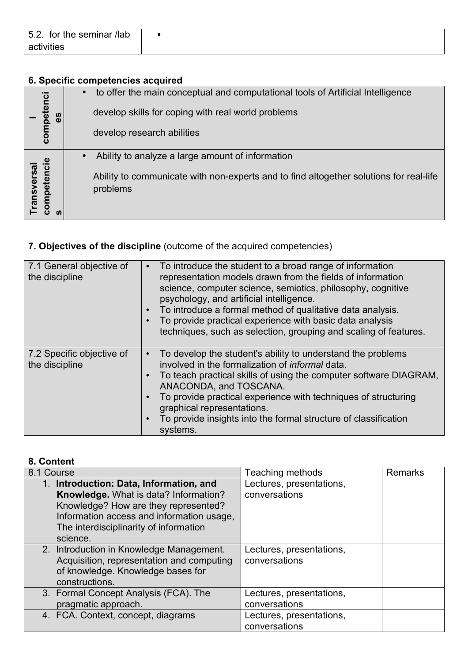| for the seminar /lab<br>5.2. |  |
|------------------------------|--|
| activities                   |  |

# **6. Specific competencies acquired**

**Professiona**

|                          |           | to offer the main conceptual and computational tools of Artificial Intelligence                    |
|--------------------------|-----------|----------------------------------------------------------------------------------------------------|
| tenci<br>ဖိ              |           | develop skills for coping with real world problems                                                 |
| compe                    |           | develop research abilities                                                                         |
|                          | $\bullet$ | Ability to analyze a large amount of information                                                   |
| ransversal<br>ompetencie |           | Ability to communicate with non-experts and to find altogether solutions for real-life<br>problems |

# **7. Objectives of the discipline** (outcome of the acquired competencies)

| 7.1 General objective of<br>the discipline  | To introduce the student to a broad range of information<br>representation models drawn from the fields of information<br>science, computer science, semiotics, philosophy, cognitive<br>psychology, and artificial intelligence.<br>To introduce a formal method of qualitative data analysis.<br>To provide practical experience with basic data analysis<br>techniques, such as selection, grouping and scaling of features. |
|---------------------------------------------|---------------------------------------------------------------------------------------------------------------------------------------------------------------------------------------------------------------------------------------------------------------------------------------------------------------------------------------------------------------------------------------------------------------------------------|
| 7.2 Specific objective of<br>the discipline | To develop the student's ability to understand the problems<br>$\bullet$<br>involved in the formalization of <i>informal</i> data.<br>To teach practical skills of using the computer software DIAGRAM,<br>$\bullet$<br>ANACONDA, and TOSCANA.<br>To provide practical experience with techniques of structuring<br>graphical representations.<br>To provide insights into the formal structure of classification<br>systems.   |

## **8. Content**

| 8.1 Course                                                                                                                                                                                                                  | <b>Teaching methods</b>                   | <b>Remarks</b> |
|-----------------------------------------------------------------------------------------------------------------------------------------------------------------------------------------------------------------------------|-------------------------------------------|----------------|
| 1. Introduction: Data, Information, and<br>Knowledge. What is data? Information?<br>Knowledge? How are they represented?<br>Information access and information usage,<br>The interdisciplinarity of information<br>science. | Lectures, presentations.<br>conversations |                |
| 2. Introduction in Knowledge Management.<br>Acquisition, representation and computing<br>of knowledge. Knowledge bases for<br>constructions.                                                                                | Lectures, presentations,<br>conversations |                |
| 3. Formal Concept Analysis (FCA). The<br>pragmatic approach.                                                                                                                                                                | Lectures, presentations,<br>conversations |                |
| 4. FCA. Context, concept, diagrams                                                                                                                                                                                          | Lectures, presentations,<br>conversations |                |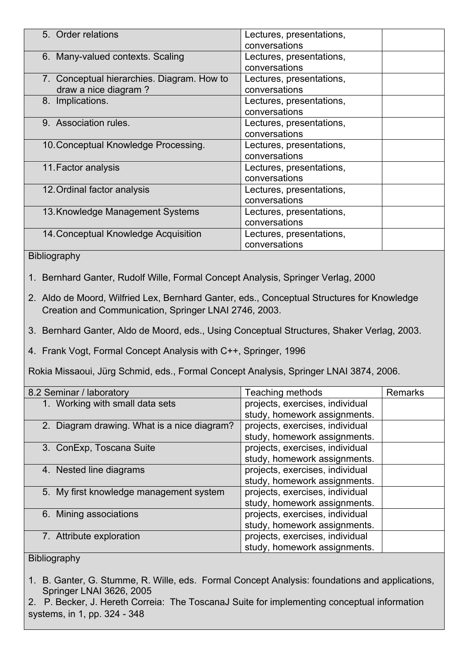| 5. Order relations                         | Lectures, presentations, |
|--------------------------------------------|--------------------------|
|                                            | conversations            |
| 6. Many-valued contexts. Scaling           | Lectures, presentations, |
|                                            | conversations            |
| 7. Conceptual hierarchies. Diagram. How to | Lectures, presentations, |
| draw a nice diagram?                       | conversations            |
| 8. Implications.                           | Lectures, presentations, |
|                                            | conversations            |
| 9. Association rules.                      | Lectures, presentations, |
|                                            | conversations            |
| 10. Conceptual Knowledge Processing.       | Lectures, presentations, |
|                                            | conversations            |
| 11. Factor analysis                        | Lectures, presentations, |
|                                            | conversations            |
| 12. Ordinal factor analysis                | Lectures, presentations, |
|                                            | conversations            |
| 13. Knowledge Management Systems           | Lectures, presentations, |
|                                            | conversations            |
| 14. Conceptual Knowledge Acquisition       | Lectures, presentations, |
|                                            | conversations            |

Bibliography

- 1. Bernhard Ganter, Rudolf Wille, Formal Concept Analysis, Springer Verlag, 2000
- 2. Aldo de Moord, Wilfried Lex, Bernhard Ganter, eds., Conceptual Structures for Knowledge Creation and Communication, Springer LNAI 2746, 2003.
- 3. Bernhard Ganter, Aldo de Moord, eds., Using Conceptual Structures, Shaker Verlag, 2003.
- 4. Frank Vogt, Formal Concept Analysis with C++, Springer, 1996

Rokia Missaoui, Jürg Schmid, eds., Formal Concept Analysis, Springer LNAI 3874, 2006.

| 8.2 Seminar / laboratory                    | Teaching methods                | <b>Remarks</b> |
|---------------------------------------------|---------------------------------|----------------|
| 1. Working with small data sets             | projects, exercises, individual |                |
|                                             | study, homework assignments.    |                |
| 2. Diagram drawing. What is a nice diagram? | projects, exercises, individual |                |
|                                             | study, homework assignments.    |                |
| 3. ConExp, Toscana Suite                    | projects, exercises, individual |                |
|                                             | study, homework assignments.    |                |
| 4. Nested line diagrams                     | projects, exercises, individual |                |
|                                             | study, homework assignments.    |                |
| 5. My first knowledge management system     | projects, exercises, individual |                |
|                                             | study, homework assignments.    |                |
| 6. Mining associations                      | projects, exercises, individual |                |
|                                             | study, homework assignments.    |                |
| 7. Attribute exploration                    | projects, exercises, individual |                |
|                                             | study, homework assignments.    |                |

#### Bibliography

- 1. B. Ganter, G. Stumme, R. Wille, eds. Formal Concept Analysis: foundations and applications, Springer LNAI 3626, 2005
- 2. P. Becker, J. Hereth Correia: The ToscanaJ Suite for implementing conceptual information systems, in 1, pp. 324 - 348